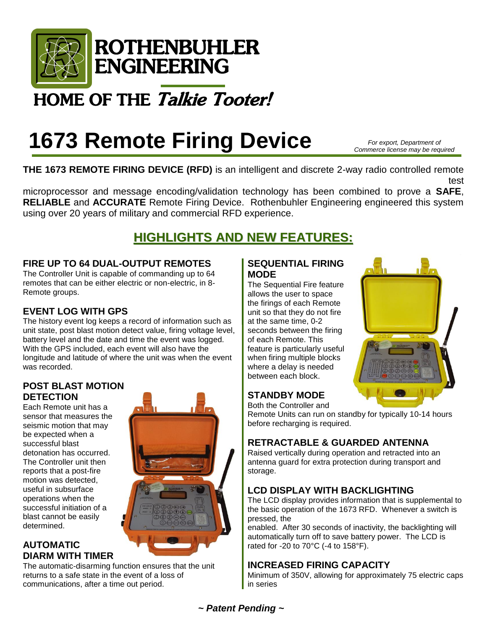

# HOME OF THE Talkie Tooter!

# **1673 Remote Firing Device**

*For export, Department of Commerce license may be required*

**THE 1673 REMOTE FIRING DEVICE (RFD)** is an intelligent and discrete 2-way radio controlled remote blast initiation system. The radio system's signal is digitally encoded (addressed). The latest

microprocessor and message encoding/validation technology has been combined to prove a **SAFE**, **RELIABLE** and **ACCURATE** Remote Firing Device. Rothenbuhler Engineering engineered this system using over 20 years of military and commercial RFD experience.

# **HIGHLIGHTS AND NEW FEATURES:**

# **FIRE UP TO 64 DUAL-OUTPUT REMOTES**

The Controller Unit is capable of commanding up to 64 remotes that can be either electric or non-electric, in 8- Remote groups.

# **EVENT LOG WITH GPS**

The history event log keeps a record of information such as unit state, post blast motion detect value, firing voltage level, battery level and the date and time the event was logged. With the GPS included, each event will also have the longitude and latitude of where the unit was when the event was recorded.

## **POST BLAST MOTION DETECTION**

Each Remote unit has a sensor that measures the seismic motion that may be expected when a successful blast detonation has occurred. The Controller unit then reports that a post-fire motion was detected, useful in subsurface operations when the successful initiation of a blast cannot be easily determined.

# **AUTOMATIC DIARM WITH TIMER**

The automatic-disarming function ensures that the unit returns to a safe state in the event of a loss of communications, after a time out period.

### **SEQUENTIAL FIRING MODE**

The Sequential Fire feature allows the user to space the firings of each Remote unit so that they do not fire at the same time, 0-2 seconds between the firing of each Remote. This feature is particularly useful when firing multiple blocks where a delay is needed between each block.



### **STANDBY MODE**  Both the Controller and

before recharging is required.

Remote Units can run on standby for typically 10-14 hours

# **RETRACTABLE & GUARDED ANTENNA**

Raised vertically during operation and retracted into an antenna guard for extra protection during transport and storage.

# **LCD DISPLAY WITH BACKLIGHTING**

The LCD display provides information that is supplemental to the basic operation of the 1673 RFD. Whenever a switch is pressed, the

enabled. After 30 seconds of inactivity, the backlighting will automatically turn off to save battery power. The LCD is rated for -20 to 70°C (-4 to 158°F).

# **INCREASED FIRING CAPACITY**

Minimum of 350V, allowing for approximately 75 electric caps in series

*~ Patent Pending ~*